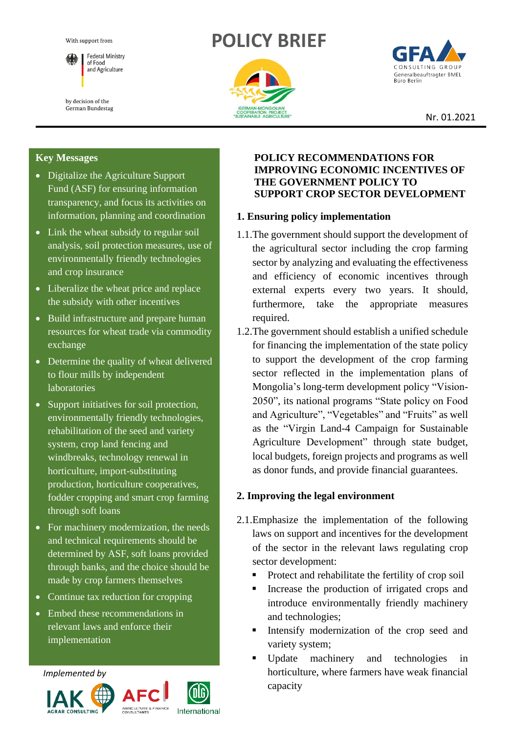With support from



by decision of the German Bundestag

# **POLICY BRIEF**





Nr. 01.2021

#### **Key Messages**

- Digitalize the Agriculture Support Fund (ASF) for ensuring information transparency, and focus its activities on information, planning and coordination
- Link the wheat subsidy to regular soil analysis, soil protection measures, use of environmentally friendly technologies and crop insurance
- Liberalize the wheat price and replace the subsidy with other incentives
- Build infrastructure and prepare human resources for wheat trade via commodity exchange
- Determine the quality of wheat delivered to flour mills by independent laboratories
- Support initiatives for soil protection, environmentally friendly technologies, rehabilitation of the seed and variety system, crop land fencing and windbreaks, technology renewal in horticulture, import-substituting production, horticulture cooperatives, fodder cropping and smart crop farming through soft loans
- For machinery modernization, the needs and technical requirements should be determined by ASF, soft loans provided through banks, and the choice should be made by crop farmers themselves
- Continue tax reduction for cropping
- Embed these recommendations in relevant laws and enforce their implementation

*Implemented by*





#### **POLICY RECOMMENDATIONS FOR IMPROVING ECONOMIC INCENTIVES OF THE GOVERNMENT POLICY TO SUPPORT CROP SECTOR DEVELOPMENT**

# **1. Ensuring policy implementation**

- 1.1.The government should support the development of the agricultural sector including the crop farming sector by analyzing and evaluating the effectiveness and efficiency of economic incentives through external experts every two years. It should, furthermore, take the appropriate measures required.
- 1.2.The government should establish a unified schedule for financing the implementation of the state policy to support the development of the crop farming sector reflected in the implementation plans of Mongolia's long-term development policy "Vision-2050", its national programs "State policy on Food and Agriculture", "Vegetables" and "Fruits" as well as the "Virgin Land-4 Campaign for Sustainable Agriculture Development" through state budget, local budgets, foreign projects and programs as well as donor funds, and provide financial guarantees.

# **2. Improving the legal environment**

- 2.1.Emphasize the implementation of the following laws on support and incentives for the development of the sector in the relevant laws regulating crop sector development:
	- Protect and rehabilitate the fertility of crop soil
	- Increase the production of irrigated crops and introduce environmentally friendly machinery and technologies;
	- **Intensify modernization of the crop seed and** variety system;
	- Update machinery and technologies horticulture, where farmers have weak financial capacity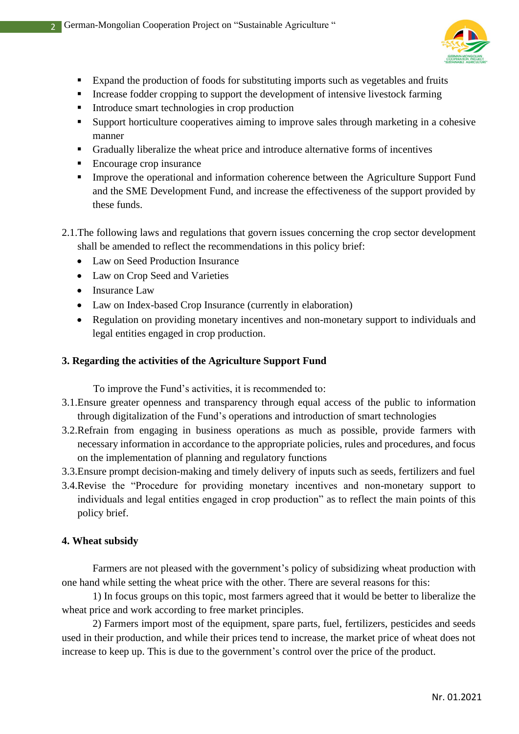

- Expand the production of foods for substituting imports such as vegetables and fruits
- **EXECUTE:** Increase fodder cropping to support the development of intensive livestock farming
- Introduce smart technologies in crop production
- Support horticulture cooperatives aiming to improve sales through marketing in a cohesive manner
- Gradually liberalize the wheat price and introduce alternative forms of incentives
- Encourage crop insurance

2

**•** Improve the operational and information coherence between the Agriculture Support Fund and the SME Development Fund, and increase the effectiveness of the support provided by these funds.

# 2.1.The following laws and regulations that govern issues concerning the crop sector development shall be amended to reflect the recommendations in this policy brief:

- Law on Seed Production Insurance
- Law on Crop Seed and Varieties
- Insurance Law
- Law on Index-based Crop Insurance (currently in elaboration)
- Regulation on providing monetary incentives and non-monetary support to individuals and legal entities engaged in crop production.

## **3. Regarding the activities of the Agriculture Support Fund**

To improve the Fund's activities, it is recommended to:

- 3.1.Ensure greater openness and transparency through equal access of the public to information through digitalization of the Fund's operations and introduction of smart technologies
- 3.2.Refrain from engaging in business operations as much as possible, provide farmers with necessary information in accordance to the appropriate policies, rules and procedures, and focus on the implementation of planning and regulatory functions
- 3.3.Ensure prompt decision-making and timely delivery of inputs such as seeds, fertilizers and fuel
- 3.4.Revise the "Procedure for providing monetary incentives and non-monetary support to individuals and legal entities engaged in crop production" as to reflect the main points of this policy brief.

## **4. Wheat subsidy**

Farmers are not pleased with the government's policy of subsidizing wheat production with one hand while setting the wheat price with the other. There are several reasons for this:

1) In focus groups on this topic, most farmers agreed that it would be better to liberalize the wheat price and work according to free market principles.

2) Farmers import most of the equipment, spare parts, fuel, fertilizers, pesticides and seeds used in their production, and while their prices tend to increase, the market price of wheat does not increase to keep up. This is due to the government's control over the price of the product.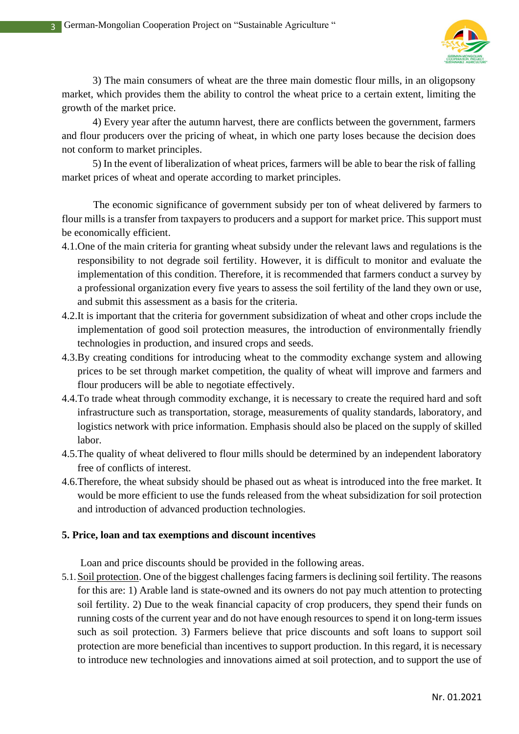3



3) The main consumers of wheat are the three main domestic flour mills, in an oligopsony market, which provides them the ability to control the wheat price to a certain extent, limiting the growth of the market price.

4) Every year after the autumn harvest, there are conflicts between the government, farmers and flour producers over the pricing of wheat, in which one party loses because the decision does not conform to market principles.

5) In the event of liberalization of wheat prices, farmers will be able to bear the risk of falling market prices of wheat and operate according to market principles.

The economic significance of government subsidy per ton of wheat delivered by farmers to flour mills is a transfer from taxpayers to producers and a support for market price. This support must be economically efficient.

- 4.1.One of the main criteria for granting wheat subsidy under the relevant laws and regulations is the responsibility to not degrade soil fertility. However, it is difficult to monitor and evaluate the implementation of this condition. Therefore, it is recommended that farmers conduct a survey by a professional organization every five years to assess the soil fertility of the land they own or use, and submit this assessment as a basis for the criteria.
- 4.2.It is important that the criteria for government subsidization of wheat and other crops include the implementation of good soil protection measures, the introduction of environmentally friendly technologies in production, and insured crops and seeds.
- 4.3.By creating conditions for introducing wheat to the commodity exchange system and allowing prices to be set through market competition, the quality of wheat will improve and farmers and flour producers will be able to negotiate effectively.
- 4.4.To trade wheat through commodity exchange, it is necessary to create the required hard and soft infrastructure such as transportation, storage, measurements of quality standards, laboratory, and logistics network with price information. Emphasis should also be placed on the supply of skilled labor.
- 4.5.The quality of wheat delivered to flour mills should be determined by an independent laboratory free of conflicts of interest.
- 4.6.Therefore, the wheat subsidy should be phased out as wheat is introduced into the free market. It would be more efficient to use the funds released from the wheat subsidization for soil protection and introduction of advanced production technologies.

## **5. Price, loan and tax exemptions and discount incentives**

Loan and price discounts should be provided in the following areas.

5.1.Soil protection. One of the biggest challenges facing farmers is declining soil fertility. The reasons for this are: 1) Arable land is state-owned and its owners do not pay much attention to protecting soil fertility. 2) Due to the weak financial capacity of crop producers, they spend their funds on running costs of the current year and do not have enough resources to spend it on long-term issues such as soil protection. 3) Farmers believe that price discounts and soft loans to support soil protection are more beneficial than incentives to support production. In this regard, it is necessary to introduce new technologies and innovations aimed at soil protection, and to support the use of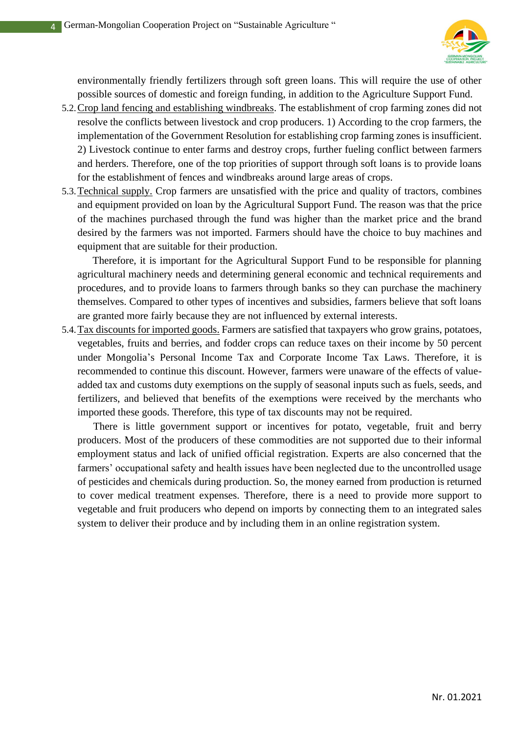

environmentally friendly fertilizers through soft green loans. This will require the use of other possible sources of domestic and foreign funding, in addition to the Agriculture Support Fund.

- 5.2.Crop land fencing and establishing windbreaks. The establishment of crop farming zones did not resolve the conflicts between livestock and crop producers. 1) According to the crop farmers, the implementation of the Government Resolution for establishing crop farming zones is insufficient. 2) Livestock continue to enter farms and destroy crops, further fueling conflict between farmers and herders. Therefore, one of the top priorities of support through soft loans is to provide loans for the establishment of fences and windbreaks around large areas of crops.
- 5.3.Technical supply. Crop farmers are unsatisfied with the price and quality of tractors, combines and equipment provided on loan by the Agricultural Support Fund. The reason was that the price of the machines purchased through the fund was higher than the market price and the brand desired by the farmers was not imported. Farmers should have the choice to buy machines and equipment that are suitable for their production.

Therefore, it is important for the Agricultural Support Fund to be responsible for planning agricultural machinery needs and determining general economic and technical requirements and procedures, and to provide loans to farmers through banks so they can purchase the machinery themselves. Compared to other types of incentives and subsidies, farmers believe that soft loans are granted more fairly because they are not influenced by external interests.

5.4.Tax discounts for imported goods. Farmers are satisfied that taxpayers who grow grains, potatoes, vegetables, fruits and berries, and fodder crops can reduce taxes on their income by 50 percent under Mongolia's Personal Income Tax and Corporate Income Tax Laws. Therefore, it is recommended to continue this discount. However, farmers were unaware of the effects of valueadded tax and customs duty exemptions on the supply of seasonal inputs such as fuels, seeds, and fertilizers, and believed that benefits of the exemptions were received by the merchants who imported these goods. Therefore, this type of tax discounts may not be required.

There is little government support or incentives for potato, vegetable, fruit and berry producers. Most of the producers of these commodities are not supported due to their informal employment status and lack of unified official registration. Experts are also concerned that the farmers' occupational safety and health issues have been neglected due to the uncontrolled usage of pesticides and chemicals during production. So, the money earned from production is returned to cover medical treatment expenses. Therefore, there is a need to provide more support to vegetable and fruit producers who depend on imports by connecting them to an integrated sales system to deliver their produce and by including them in an online registration system.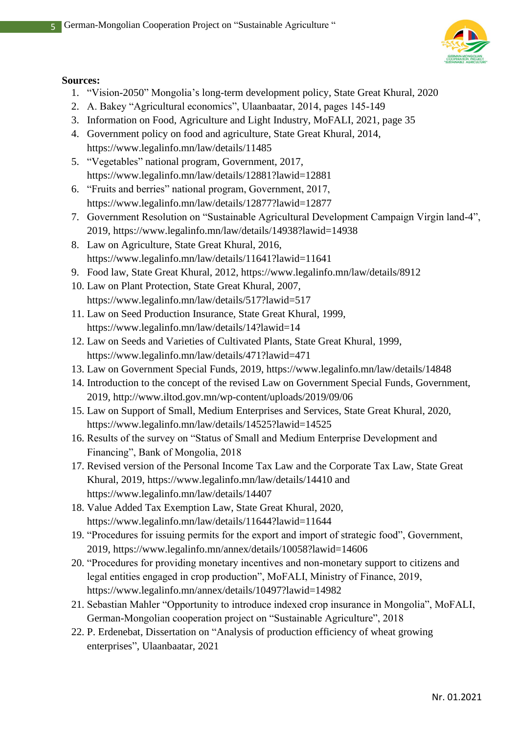

#### **Sources:**

5

- 1. "Vision-2050" Mongolia's long-term development policy, State Great Khural, 2020
- 2. А. Bakey "Agricultural economics", Ulaanbaatar, 2014, pages 145-149
- 3. Information on Food, Agriculture and Light Industry, MoFALI, 2021, page 35
- 4. Government policy on food and agriculture, State Great Khural, 2014, https://www.legalinfo.mn/law/details/11485
- 5. "Vegetables" national program, Government, 2017, https://www.legalinfo.mn/law/details/12881?lawid=12881
- 6. "Fruits and berries" national program, Government, 2017, https://www.legalinfo.mn/law/details/12877?lawid=12877
- 7. Government Resolution on "Sustainable Agricultural Development Campaign Virgin land-4", 2019, https://www.legalinfo.mn/law/details/14938?lawid=14938
- 8. Law on Agriculture, State Great Khural, 2016, https://www.legalinfo.mn/law/details/11641?lawid=11641
- 9. Food law, State Great Khural, 2012, https://www.legalinfo.mn/law/details/8912
- 10. Law on Plant Protection, State Great Khural, 2007, https://www.legalinfo.mn/law/details/517?lawid=517
- 11. Law on Seed Production Insurance, State Great Khural, 1999, https://www.legalinfo.mn/law/details/14?lawid=14
- 12. Law on Seeds and Varieties of Cultivated Plants, State Great Khural, 1999, https://www.legalinfo.mn/law/details/471?lawid=471
- 13. Law on Government Special Funds, 2019, https://www.legalinfo.mn/law/details/14848
- 14. Introduction to the concept of the revised Law on Government Special Funds, Government, 2019, http://www.iltod.gov.mn/wp-content/uploads/2019/09/06
- 15. Law on Support of Small, Medium Enterprises and Services, State Great Khural, 2020, https://www.legalinfo.mn/law/details/14525?lawid=14525
- 16. Results of the survey on "Status of Small and Medium Enterprise Development and Financing", Bank of Mongolia, 2018
- 17. Revised version of the Personal Income Tax Law and the Corporate Tax Law, State Great Khural, 2019, https://www.legalinfo.mn/law/details/14410 and https://www.legalinfo.mn/law/details/14407
- 18. Value Added Tax Exemption Law, State Great Khural, 2020, https://www.legalinfo.mn/law/details/11644?lawid=11644
- 19. "Procedures for issuing permits for the export and import of strategic food", Government, 2019, https://www.legalinfo.mn/annex/details/10058?lawid=14606
- 20. "Procedures for providing monetary incentives and non-monetary support to citizens and legal entities engaged in crop production", MoFALI, Ministry of Finance, 2019, https://www.legalinfo.mn/annex/details/10497?lawid=14982
- 21. Sebastian Mahler "Opportunity to introduce indexed crop insurance in Mongolia", MoFALI, German-Mongolian cooperation project on "Sustainable Agriculture", 2018
- 22. P. Erdenebat, Dissertation on "Analysis of production efficiency of wheat growing enterprises", Ulaanbaatar, 2021